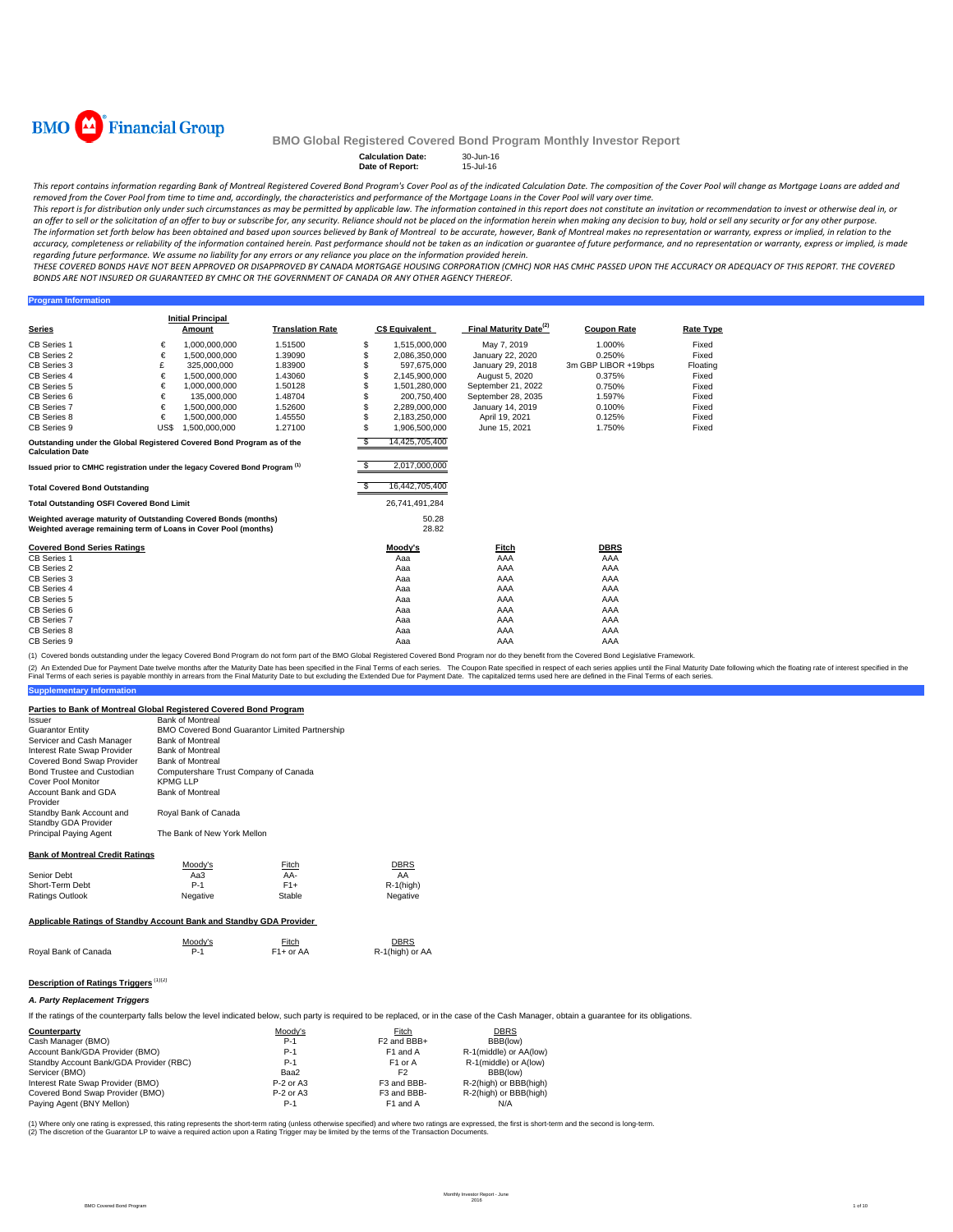

**Program Information**

### **BMO Global Registered Covered Bond Program Monthly Investor Report**

## **Calculation Date:** 30-Jun-16 **Date of Report:** 15-Jul-16

This report contains information regarding Bank of Montreal Registered Covered Bond Program's Cover Pool as of the indicated Calculation Date. The composition of the Cover Pool will change as Mortgage Loans are added and removed from the Cover Pool from time to time and, accordingly, the characteristics and performance of the Mortgage Loans in the Cover Pool will vary over time.

This report is for distribution only under such circumstances as may be permitted by applicable law. The information contained in this report does not constitute an invitation or recommendation to invest or otherwise deal an offer to sell or the solicitation of an offer to buy or subscribe for, any security. Reliance should not be placed on the information herein when making any decision to buy, hold or sell any security or for any other pu The information set forth below has been obtained and based upon sources believed by Bank of Montreal to be accurate, however, Bank of Montreal makes no representation or warranty, express or implied, in relation to the accuracy, completeness or reliability of the information contained herein. Past performance should not be taken as an indication or guarantee of future performance, and no representation or warranty, express or implied, is regarding future performance. We assume no liability for any errors or any reliance you place on the information provided herein.

THESE COVERED BONDS HAVE NOT BEEN APPROVED OR DISAPPROVED BY CANADA MORTGAGE HOUSING CORPORATION (CMHC) NOR HAS CMHC PASSED UPON THE ACCURACY OR ADEQUACY OF THIS REPORT. THE COVERED BONDS ARE NOT INSURED OR GUARANTEED BY CMHC OR THE GOVERNMENT OF CANADA OR ANY OTHER AGENCY THEREOF.

**Series Initial Principal C\$ Equivalent Final Maturity Date<sup>(2)</sup> Coupon Rate <b>Rate Type** CB Series 1 € 1,000,000,000 1.51500 \$ 1,515,000,000 May 7, 2019 1.000% Fixed CB Series 2 € 1,500,000,000 1.39090 \$ 2,086,350,000 January 22, 2020 0.250% Fixed CB Series 3 £ 325,000,000 1.83900 \$ 597,675,000 January 29, 2018 3m GBP LIBOR +19bps Floating CB Series 4 € 1,500,000,000 1.43060 \$ 2,145,900,000 August 5, 2020 0.375% Fixed CB Series 5 € 1,000,000,000 1.50128 \$ 1,501,280,000 September 21, 2022 0.750% Fixed<br>CB Series 6 € 135,000,000 1.48704 \$ 2,00,750,400 September 28, 2035 1.597% Fixed<br>CB Series 7 € 1.500,000,000 1.52600 \$ 2.289,000,000 Janu CB Series 6 € 135,000,000 1.48704 \$ 200,750,400 September 28, 2035 1.597% Fixed<br>CB Series 7 € 1,500,000,000 1.52600 \$ 2,289,000,000 January 14, 2019 0.100% CB Series 8 € 1,500,000,000 1.45550 \$ 2,183,250,000 April 19, 2021 0.125% Fixed CB Series 9 US\$ 1,500,000,000 1.27100 \$ 1,906,500,000 June 15, 2021 1.750% Fixed \$ 14,425,705,400 \$ 2,017,000,000 **Total Covered Bond Outstanding** \$ 16,442,705,400 **Total Outstanding OSFI Covered Bond Limit** 26,741,491,284 50.28 28.82 **Covered Bond Series Ratings Moody's Fitch DBRS** CB Series 1 Aaa AAA AAA CB Series 2 Aaa AAA AAA CB Series 3 Aaa AAA AAA CB Series 4 Aaa AAA AAA CB Series 5 Aaa AAA AAA CB Series 6 Aaa AAA AAA CB Series 7 Aaa AAA AAA CB Series 8 Aaa AAA AAA CB Series 9 Aaa AAA AAA **Translation Rate Outstanding under the Global Registered Covered Bond Program as of the Calculation Date Issued prior to CMHC registration under the legacy Covered Bond Program (1)** US\$ 1,500,000,000 **Weighted average maturity of Outstanding Covered Bonds (months) Weighted average remaining term of Loans in Cover Pool (months)**

(1) Covered bonds outstanding under the legacy Covered Bond Program do not form part of the BMO Global Registered Covered Bond Program nor do they benefit from the Covered Bond Legislative Fran

(2) An Extended Due for Payment Date twelve months after the Maturity Date has been specified in the Final Terms of each series. The Coupon Rate specified in trespect of each series applies provided in the Final Maturity D Final Terms of each series is payable monthly in arrears from the Final Maturity Date to but excluding the Extended Due for Payment Date. The capitalized terms used here are defined in the Final Terms of each series.

### **Parties to Bank of Montreal Global Registered Covered Bond Program**

Issuer Bank of Montreal Guarantor Entity Servicer and Cash Manager Bank of Montreal<br>Interest Rate Swan Provider Bank of Montreal Interest Rate Swap Provider Bank of Montreal<br>Covered Bond Swap Provider Bank of Montreal Covered Bond Swap Provider<br>Bond Trustee and Custodian Computershare Trust Company of Canada Cover Pool Monitor **KPMG LLP** Account Bank and GDA Provider Bank of Montreal Standby Bank Account and Standby GDA Provider Principal Paying Agent The Bank of New York Mellon BMO Covered Bond Guarantor Limited Partnership Royal Bank of Canada

### **Bank of Montreal Credit Ratings**

**Supplementary Information**

|                                                                     | Moodv's  | <b>Fitch</b> | <b>DBRS</b>  |  |  |  |
|---------------------------------------------------------------------|----------|--------------|--------------|--|--|--|
| Senior Debt                                                         | Aa3      | AA-          | AA           |  |  |  |
| Short-Term Debt                                                     | $P-1$    | $F1+$        | $R-1$ (high) |  |  |  |
| Ratings Outlook                                                     | Negative | Stable       | Negative     |  |  |  |
| Applicable Ratings of Standby Account Bank and Standby GDA Provider |          |              |              |  |  |  |

|                      | Moody's | <b>Fitch</b>           | <b>DBRS</b>     |
|----------------------|---------|------------------------|-----------------|
| Royal Bank of Canada | $P-1$   | F <sub>1</sub> + or AA | R-1(high) or AA |

### **Description of Ratings Triggers** (1)(2)

#### *A. Party Replacement Triggers*

If the ratings of the counterparty falls below the level indicated below, such party is required to be replaced, or in the case of the Cash Manager, obtain a quarantee for its obligations.

| Counterparty                            | Moody's     | Fitch                   | <b>DBRS</b>            |
|-----------------------------------------|-------------|-------------------------|------------------------|
| Cash Manager (BMO)                      | $P-1$       | F <sub>2</sub> and BBB+ | BBB(low)               |
| Account Bank/GDA Provider (BMO)         | $P-1$       | F <sub>1</sub> and A    | R-1(middle) or AA(low) |
| Standby Account Bank/GDA Provider (RBC) | $P-1$       | F <sub>1</sub> or A     | R-1(middle) or A(low)  |
| Servicer (BMO)                          | Baa2        | F <sub>2</sub>          | BBB(low)               |
| Interest Rate Swap Provider (BMO)       | $P-2$ or A3 | F3 and BBB-             | R-2(high) or BBB(high) |
| Covered Bond Swap Provider (BMO)        | $P-2$ or A3 | F3 and BBB-             | R-2(high) or BBB(high) |
| Paying Agent (BNY Mellon)               | $P-1$       | F <sub>1</sub> and A    | N/A                    |

(1) Where only one rating is expressed, this rating represents the short-term rating (unless otherwise specified) and where two ratings are expressed, the first is short-term and the second is long-term.<br>(2) The discretion required action upon a Rating Trigger may be limited by the terms of the Transaction upon a Rating Trigger may be limited by the terms of the Transaction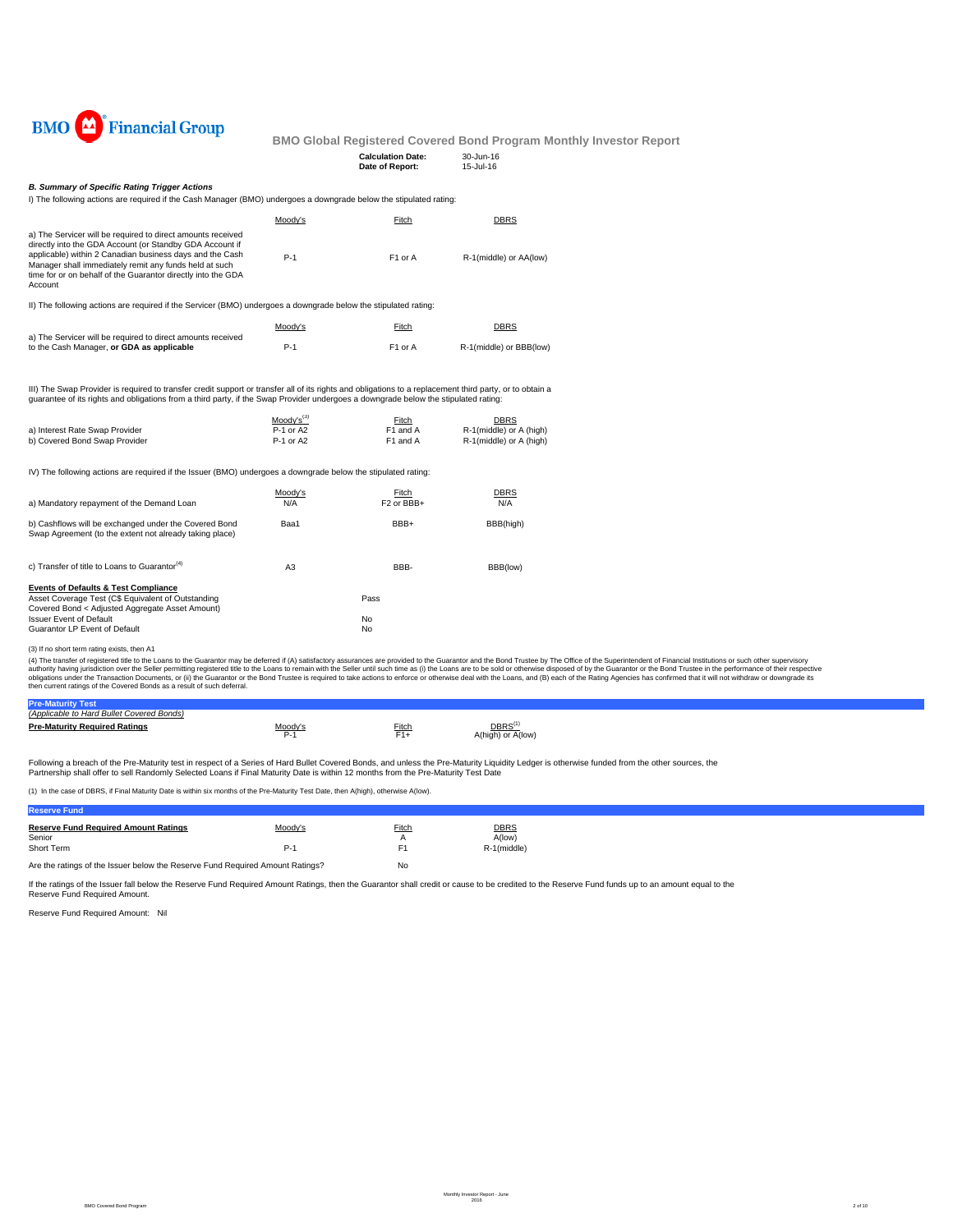

### **Board Report**

| <b>DIATO</b> 1<br>r mancial Oroup                                                                                                                                                                                                                                                                                        |                        |                                             | <b>BMO Global Registered Covered Bond Program Monthly In</b> |  |
|--------------------------------------------------------------------------------------------------------------------------------------------------------------------------------------------------------------------------------------------------------------------------------------------------------------------------|------------------------|---------------------------------------------|--------------------------------------------------------------|--|
|                                                                                                                                                                                                                                                                                                                          |                        | <b>Calculation Date:</b><br>Date of Report: | 30-Jun-16<br>15-Jul-16                                       |  |
| <b>B. Summary of Specific Rating Trigger Actions</b>                                                                                                                                                                                                                                                                     |                        |                                             |                                                              |  |
| I) The following actions are required if the Cash Manager (BMO) undergoes a downgrade below the stipulated rating:                                                                                                                                                                                                       |                        |                                             |                                                              |  |
|                                                                                                                                                                                                                                                                                                                          | Moody's                | Fitch                                       | <b>DBRS</b>                                                  |  |
| a) The Servicer will be required to direct amounts received<br>directly into the GDA Account (or Standby GDA Account if<br>applicable) within 2 Canadian business days and the Cash<br>Manager shall immediately remit any funds held at such<br>time for or on behalf of the Guarantor directly into the GDA<br>Account | $P-1$                  | F1 or A                                     | R-1(middle) or AA(low)                                       |  |
| II) The following actions are required if the Servicer (BMO) undergoes a downgrade below the stipulated rating:                                                                                                                                                                                                          |                        |                                             |                                                              |  |
|                                                                                                                                                                                                                                                                                                                          | Moody's                | Fitch                                       | <b>DBRS</b>                                                  |  |
| a) The Servicer will be required to direct amounts received<br>to the Cash Manager, or GDA as applicable                                                                                                                                                                                                                 | $P-1$                  | F1 or A                                     | R-1(middle) or BBB(low)                                      |  |
| III) The Swap Provider is required to transfer credit support or transfer all of its rights and obligations to a replacement third party, or to obtain a<br>quarantee of its rights and obligations from a third party, if the Swap Provider undergoes a downgrade below the stipulated rating:                          |                        |                                             |                                                              |  |
|                                                                                                                                                                                                                                                                                                                          | $Mody's^{(3)}$         | Fitch                                       | <b>DBRS</b>                                                  |  |
| a) Interest Rate Swap Provider<br>b) Covered Bond Swap Provider                                                                                                                                                                                                                                                          | P-1 or A2<br>P-1 or A2 | F1 and A<br>F1 and A                        | R-1(middle) or A (high)<br>R-1(middle) or A (high)           |  |
| IV) The following actions are required if the Issuer (BMO) undergoes a downgrade below the stipulated rating:                                                                                                                                                                                                            |                        |                                             |                                                              |  |
| a) Mandatory repayment of the Demand Loan                                                                                                                                                                                                                                                                                | Moody's<br>N/A         | Fitch<br>F <sub>2</sub> or BBB+             | DBRS<br>N/A                                                  |  |
| b) Cashflows will be exchanged under the Covered Bond<br>Swap Agreement (to the extent not already taking place)                                                                                                                                                                                                         | Baa1                   | BBB+                                        | BBB(high)                                                    |  |
| c) Transfer of title to Loans to Guarantor <sup>(4)</sup>                                                                                                                                                                                                                                                                | A3                     | BBB-                                        | BBB(low)                                                     |  |

**Events of Defaults & Test Compliance**<br>Asset Coverage Test (C\$ Equivalent of Outstanding<br>Covered Bond < Adjusted Aggregate Asset Amount)

(3) If no short term rating exists, then A1

(4) The transfer of registered title to the Loans to the Guarantor may be deferred if (A) satisfactory assurances are provided to the Guarantor and the Bond Trustee by The Office of the Superintendent of Financial Institut

| <b>Hard Bullet Covered Bonds)</b>        |    |       |                                                   |  |
|------------------------------------------|----|-------|---------------------------------------------------|--|
| <b>Maturity Required Ratings</b><br>Pre- | -- | Fitch | DBRS <sup>(</sup><br><b>Allow</b><br>יש<br>Aluman |  |

Following a breach of the Pre-Maturity test in respect of a Series of Hard Bullet Covered Bonds, and unless the Pre-Maturity Liquidity Ledger is otherwise funded from the other sources, the<br>Partnership shall offer to sell

(1) In the case of DBRS, if Final Maturity Date is within six months of the Pre-Maturity Test Date, then A(high), otherwise A(low).

Issuer Event of Default No<br>Guarantor LP Event of Default No

| <b>Reserve Fund</b>                                                                         |         |          |                       |
|---------------------------------------------------------------------------------------------|---------|----------|-----------------------|
| <b>Reserve Fund Required Amount Ratings</b><br>Senior                                       | Moody's | Fitch    | <b>DBRS</b><br>A(low) |
| Short Term<br>Are the ratings of the Issuer below the Reserve Fund Reguired Amount Ratings? | P-'     | F1<br>No | R-1(middle)           |
|                                                                                             |         |          |                       |

If the ratings of the Issuer fall below the Reserve Fund Required Amount Ratings, then the Guarantor shall credit or cause to be credited to the Reserve Fund funds up to an amount equal to the Reserve Fund Required Amount.

Reserve Fund Required Amount: Nil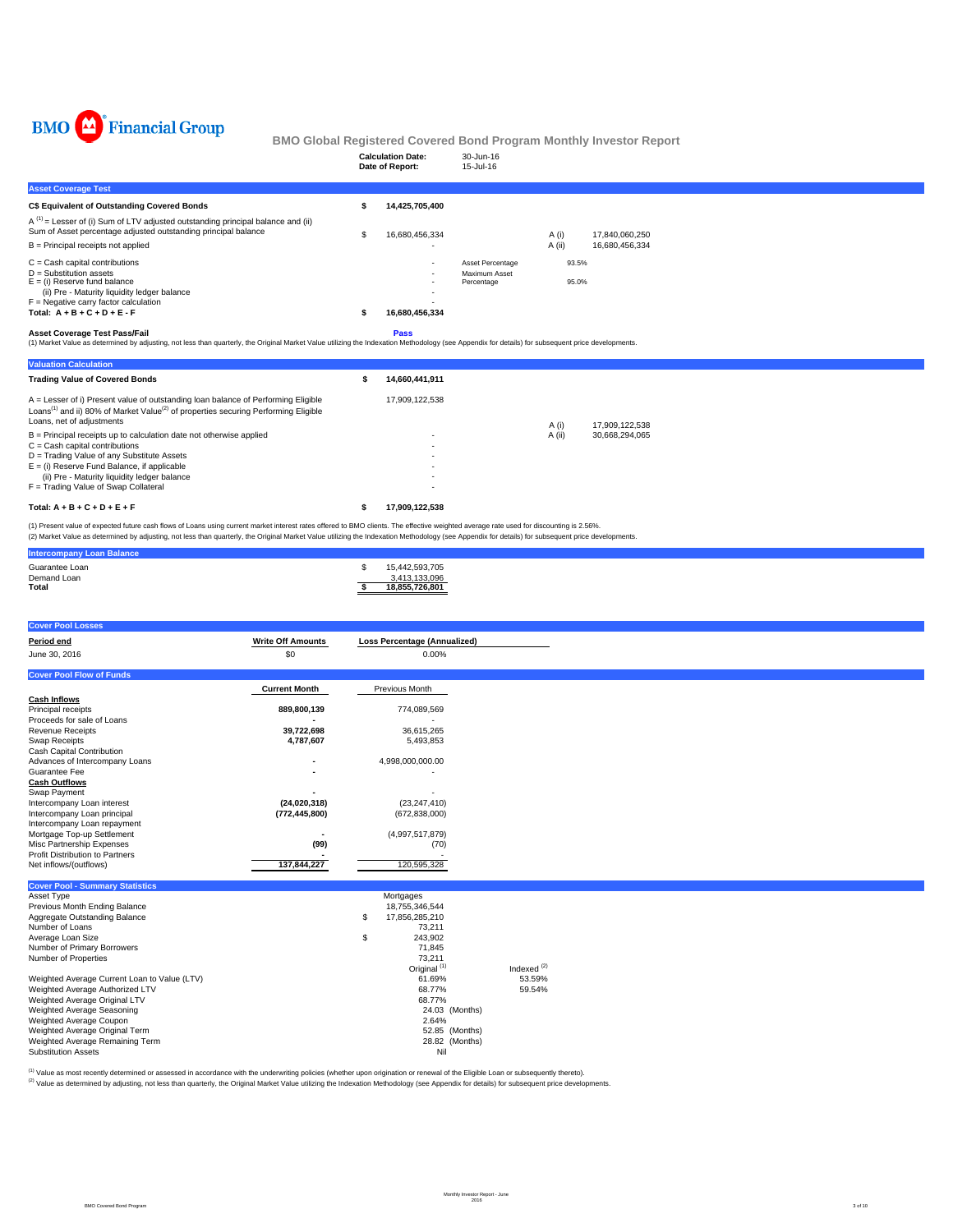

| ⊷<br>* ************ Oxomp                                                                                                                                                                                                                                                                                                                                                                                                         |                                     | <b>Calculation Date:</b><br>Date of Report:                                            | 30-Jun-16<br>15-Jul-16                          | <b>BMO Global Registered Covered Bond Program Monthly Investor Report</b> |
|-----------------------------------------------------------------------------------------------------------------------------------------------------------------------------------------------------------------------------------------------------------------------------------------------------------------------------------------------------------------------------------------------------------------------------------|-------------------------------------|----------------------------------------------------------------------------------------|-------------------------------------------------|---------------------------------------------------------------------------|
| <b>Asset Coverage Test</b>                                                                                                                                                                                                                                                                                                                                                                                                        |                                     |                                                                                        |                                                 |                                                                           |
| C\$ Equivalent of Outstanding Covered Bonds                                                                                                                                                                                                                                                                                                                                                                                       |                                     | 14,425,705,400<br>\$                                                                   |                                                 |                                                                           |
| $A^{(1)}$ = Lesser of (i) Sum of LTV adjusted outstanding principal balance and (ii)<br>Sum of Asset percentage adjusted outstanding principal balance<br>B = Principal receipts not applied                                                                                                                                                                                                                                      |                                     | 16,680,456,334<br>\$                                                                   |                                                 | A (i)<br>17,840,060,250<br>A (ii)<br>16,680,456,334                       |
| $C =$ Cash capital contributions<br>$D =$ Substitution assets<br>$E =$ (i) Reserve fund balance<br>(ii) Pre - Maturity liquidity ledger balance<br>$F =$ Negative carry factor calculation<br>Total: $A + B + C + D + E - F$                                                                                                                                                                                                      |                                     | 16,680,456,334<br>\$                                                                   | Asset Percentage<br>Maximum Asset<br>Percentage | 93.5%<br>95.0%                                                            |
| <b>Asset Coverage Test Pass/Fail</b><br>(1) Market Value as determined by adjusting, not less than quarterly, the Original Market Value utilizing the Indexation Methodology (see Appendix for details) for subsequent price developments.                                                                                                                                                                                        |                                     | Pass                                                                                   |                                                 |                                                                           |
| <b>Valuation Calculation</b>                                                                                                                                                                                                                                                                                                                                                                                                      |                                     |                                                                                        |                                                 |                                                                           |
| <b>Trading Value of Covered Bonds</b>                                                                                                                                                                                                                                                                                                                                                                                             |                                     | \$<br>14,660,441,911                                                                   |                                                 |                                                                           |
| A = Lesser of i) Present value of outstanding loan balance of Performing Eligible<br>Loans <sup>(1)</sup> and ii) 80% of Market Value <sup>(2)</sup> of properties securing Performing Eligible<br>Loans, net of adjustments                                                                                                                                                                                                      |                                     | 17,909,122,538                                                                         |                                                 | 17,909,122,538                                                            |
| B = Principal receipts up to calculation date not otherwise applied<br>$C =$ Cash capital contributions<br>D = Trading Value of any Substitute Assets<br>$E = (i)$ Reserve Fund Balance, if applicable<br>(ii) Pre - Maturity liquidity ledger balance<br>F = Trading Value of Swap Collateral                                                                                                                                    |                                     |                                                                                        |                                                 | A (i)<br>A (ii)<br>30,668,294,065                                         |
| Total: $A + B + C + D + E + F$                                                                                                                                                                                                                                                                                                                                                                                                    |                                     | 17,909,122,538<br>\$                                                                   |                                                 |                                                                           |
| (1) Present value of expected future cash flows of Loans using current market interest rates offered to BMO clients. The effective weighted average rate used for discounting is 2.56%.<br>(2) Market Value as determined by adjusting, not less than quarterly, the Original Market Value utilizing the Indexation Methodology (see Appendix for details) for subsequent price developments.<br><b>Intercompany Loan Balance</b> |                                     |                                                                                        |                                                 |                                                                           |
| Guarantee Loan<br>Demand Loan<br>Total                                                                                                                                                                                                                                                                                                                                                                                            |                                     | \$<br>15,442,593,705<br>3,413,133,096<br>18,855,726,801<br>s                           |                                                 |                                                                           |
| <b>Cover Pool Losses</b>                                                                                                                                                                                                                                                                                                                                                                                                          |                                     |                                                                                        |                                                 |                                                                           |
| Period end<br>June 30, 2016                                                                                                                                                                                                                                                                                                                                                                                                       | <b>Write Off Amounts</b><br>\$0     | <b>Loss Percentage (Annualized)</b><br>0.00%                                           |                                                 |                                                                           |
| <b>Cover Pool Flow of Funds</b>                                                                                                                                                                                                                                                                                                                                                                                                   |                                     |                                                                                        |                                                 |                                                                           |
| <b>Cash Inflows</b><br>Principal receipts                                                                                                                                                                                                                                                                                                                                                                                         | <b>Current Month</b><br>889,800,139 | Previous Month<br>774,089,569                                                          |                                                 |                                                                           |
| Proceeds for sale of Loans<br>Revenue Receipts<br>Swap Receipts                                                                                                                                                                                                                                                                                                                                                                   | 39,722,698<br>4,787,607             | 36,615,265<br>5,493,853                                                                |                                                 |                                                                           |
| Cash Capital Contribution<br>Advances of Intercompany Loans<br>Guarantee Fee                                                                                                                                                                                                                                                                                                                                                      |                                     | 4,998,000,000.00                                                                       |                                                 |                                                                           |
| <b>Cash Outflows</b><br>Swap Payment<br>Intercompany Loan interest                                                                                                                                                                                                                                                                                                                                                                | (24,020,318)                        | (23, 247, 410)                                                                         |                                                 |                                                                           |
| Intercompany Loan principal<br>Intercompany Loan repayment<br>Mortgage Top-up Settlement                                                                                                                                                                                                                                                                                                                                          | (772, 445, 800)                     | (672, 838, 000)<br>(4,997,517,879)                                                     |                                                 |                                                                           |
| Misc Partnership Expenses<br>Profit Distribution to Partners<br>Net inflows/(outflows)                                                                                                                                                                                                                                                                                                                                            | (99)<br>137,844,227                 | (70)<br>120,595,328                                                                    |                                                 |                                                                           |
| <b>Cover Pool - Summary Statistics</b>                                                                                                                                                                                                                                                                                                                                                                                            |                                     |                                                                                        |                                                 |                                                                           |
| Asset Type<br>Previous Month Ending Balance<br>Aggregate Outstanding Balance<br>Number of Loans<br>Average Loan Size                                                                                                                                                                                                                                                                                                              |                                     | Mortgages<br>18,755,346,544<br>\$<br>17,856,285,210<br>73,211<br>\$<br>243,902         |                                                 |                                                                           |
| Number of Primary Borrowers<br>Number of Properties<br>Weighted Average Current Loan to Value (LTV)                                                                                                                                                                                                                                                                                                                               |                                     | 71,845<br>73,211<br>Original <sup>(1)</sup><br>61.69%                                  | Indexed $(2)$                                   | 53.59%                                                                    |
| Weighted Average Authorized LTV<br>Weighted Average Original LTV<br>Weighted Average Seasoning<br>Weighted Average Coupon<br>Weighted Average Original Term<br>Weighted Average Remaining Term<br><b>Substitution Assets</b>                                                                                                                                                                                                      |                                     | 68.77%<br>68.77%<br>24.03 (Months)<br>2.64%<br>52.85 (Months)<br>28.82 (Months)<br>Nil |                                                 | 59.54%                                                                    |

<sup>(t)</sup> Value as most recently determined or assessed in accordance with the underwriting policies (whether upon origination or renewal of the Eligible Loan or subsequently thereto).<br><sup>(2)</sup> Value as determined by adjusting, n

BMO Covered Bond Program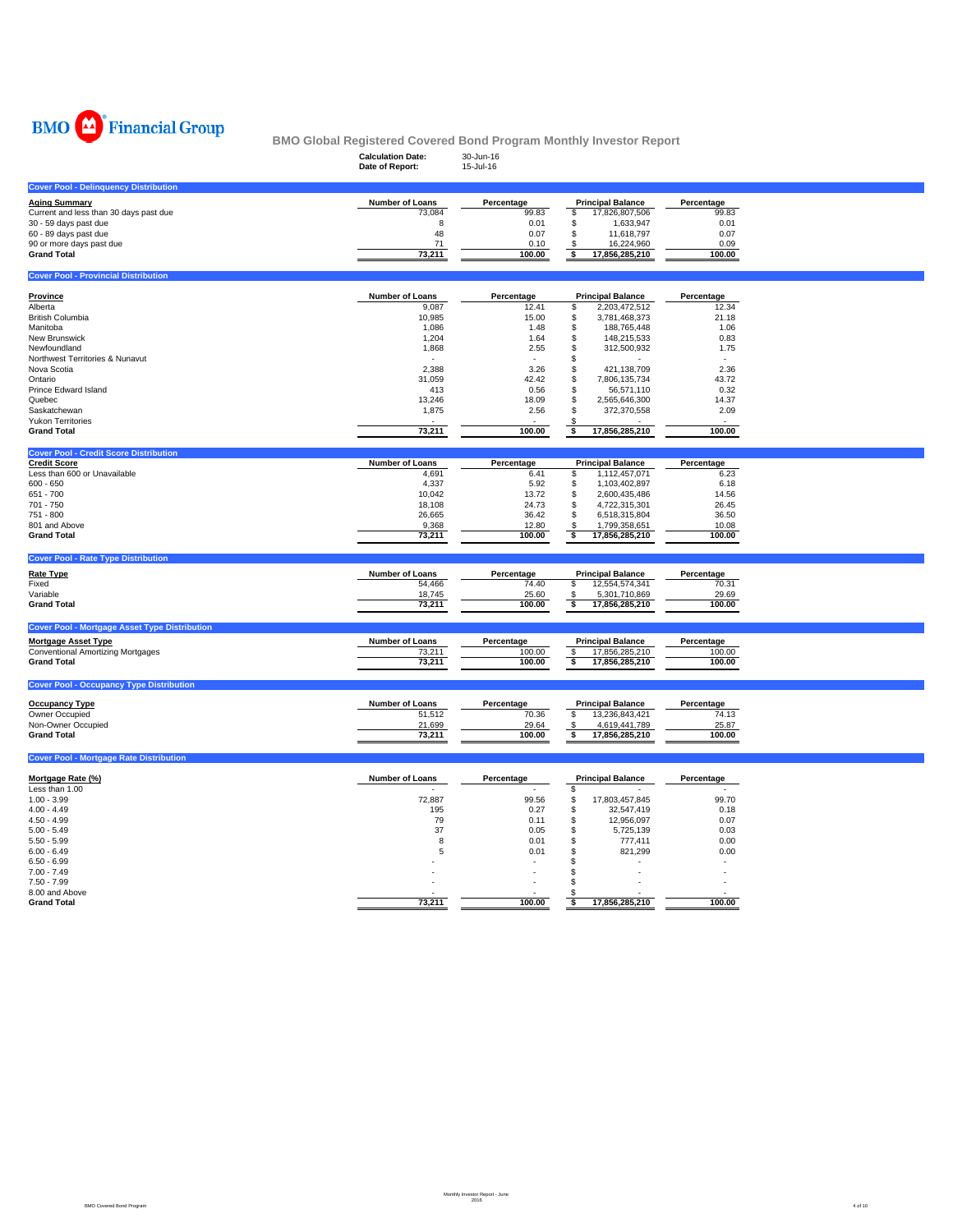

|                                                                      | <b>Calculation Date:</b> | 30-Jun-16          | <u>DMO GIODAI INEGISIEIEU GOVEIEU DOIIU FTOGIAIII MOIIUIII IIIVESIOI INEPOIT</u> |                    |  |
|----------------------------------------------------------------------|--------------------------|--------------------|----------------------------------------------------------------------------------|--------------------|--|
|                                                                      | Date of Report:          | 15-Jul-16          |                                                                                  |                    |  |
| <b>Cover Pool - Delinquency Distribution</b>                         |                          |                    |                                                                                  |                    |  |
| <b>Aging Summary</b>                                                 | Number of Loans          | Percentage         | <b>Principal Balance</b>                                                         | Percentage         |  |
| Current and less than 30 days past due                               | 73,084                   | 99.83              | 17,826,807,506<br>\$                                                             | 99.83              |  |
| 30 - 59 days past due                                                | 8                        | 0.01               | \$<br>1,633,947                                                                  | 0.01               |  |
| 60 - 89 days past due                                                | 48                       | 0.07               | \$<br>11,618,797                                                                 | 0.07               |  |
| 90 or more days past due<br><b>Grand Total</b>                       | 71<br>73,211             | 0.10<br>100.00     | 16,224,960<br>\$<br>\$<br>17,856,285,210                                         | 0.09<br>100.00     |  |
|                                                                      |                          |                    |                                                                                  |                    |  |
| <b>Cover Pool - Provincial Distribution</b>                          |                          |                    |                                                                                  |                    |  |
| <b>Province</b>                                                      | Number of Loans          | Percentage         | <b>Principal Balance</b>                                                         | Percentage         |  |
| Alberta                                                              | 9,087                    | 12.41              | \$<br>2,203,472,512                                                              | 12.34              |  |
| <b>British Columbia</b>                                              | 10,985                   | 15.00              | \$<br>3,781,468,373                                                              | 21.18              |  |
| Manitoba                                                             | 1,086                    | 1.48               | \$<br>188,765,448                                                                | 1.06               |  |
| New Brunswick<br>Newfoundland                                        | 1,204<br>1,868           | 1.64<br>2.55       | \$<br>148,215,533<br>S<br>312,500,932                                            | 0.83<br>1.75       |  |
| Northwest Territories & Nunavut                                      |                          |                    | \$                                                                               |                    |  |
| Nova Scotia                                                          | 2,388                    | 3.26               | \$<br>421,138,709                                                                | 2.36               |  |
| Ontario                                                              | 31,059                   | 42.42              | \$<br>7,806,135,734                                                              | 43.72              |  |
| Prince Edward Island                                                 | 413                      | 0.56               | \$<br>56,571,110                                                                 | 0.32               |  |
| Quebec                                                               | 13,246                   | 18.09              | S<br>2,565,646,300                                                               | 14.37              |  |
| Saskatchewan                                                         | 1,875                    | 2.56               | S<br>372,370,558                                                                 | 2.09               |  |
| <b>Yukon Territories</b><br><b>Grand Total</b>                       | 73,211                   | 100.00             | ិ<br>17,856,285,210                                                              | 100.00             |  |
|                                                                      |                          |                    |                                                                                  |                    |  |
| <b>Cover Pool - Credit Score Distribution</b><br><b>Credit Score</b> |                          |                    |                                                                                  |                    |  |
| Less than 600 or Unavailable                                         | Number of Loans<br>4,691 | Percentage<br>6.41 | <b>Principal Balance</b><br>1,112,457,071<br>\$                                  | Percentage<br>6.23 |  |
| $600 - 650$                                                          | 4,337                    | 5.92               | \$<br>1,103,402,897                                                              | 6.18               |  |
| 651 - 700                                                            | 10,042                   | 13.72              | \$<br>2,600,435,486                                                              | 14.56              |  |
| 701 - 750                                                            | 18,108                   | 24.73              | \$<br>4,722,315,301                                                              | 26.45              |  |
| 751 - 800                                                            | 26,665                   | 36.42              | \$<br>6,518,315,804                                                              | 36.50              |  |
| 801 and Above                                                        | 9,368                    | 12.80              | S<br>1,799,358,651                                                               | 10.08              |  |
| <b>Grand Total</b>                                                   | 73,211                   | 100.00             | ॱऽ<br>17,856,285,210                                                             | 100.00             |  |
| <b>Cover Pool - Rate Type Distribution</b>                           |                          |                    |                                                                                  |                    |  |
| <b>Rate Type</b>                                                     | Number of Loans          | Percentage         | <b>Principal Balance</b>                                                         | Percentage         |  |
| Fixed                                                                | 54,466                   | 74.40              | \$<br>12,554,574,341                                                             | 70.31              |  |
| Variable                                                             | 18,745                   | 25.60              | 5,301,710,869<br>\$                                                              | 29.69              |  |
| <b>Grand Total</b>                                                   | 73,211                   | 100.00             | $\overline{\cdot}$<br>17,856,285,210                                             | 100.00             |  |
| <b>Cover Pool - Mortgage Asset Type Distribution</b>                 |                          |                    |                                                                                  |                    |  |
| <b>Mortgage Asset Type</b>                                           | Number of Loans          | Percentage         | <b>Principal Balance</b>                                                         | Percentage         |  |
| <b>Conventional Amortizing Mortgages</b>                             | 73,211                   | 100.00             | 17,856,285,210<br>-S                                                             | 100.00             |  |
| <b>Grand Total</b>                                                   | 73,211                   | 100.00             | s<br>17,856,285,210                                                              | 100.00             |  |
|                                                                      |                          |                    |                                                                                  |                    |  |
| <b>Cover Pool - Occupancy Type Distribution</b>                      |                          |                    |                                                                                  |                    |  |
| <b>Occupancy Type</b>                                                | Number of Loans          | Percentage         | <b>Principal Balance</b>                                                         | Percentage         |  |
| Owner Occupied                                                       | 51,512                   | 70.36              | 13,236,843,421<br>\$                                                             | 74.13              |  |
| Non-Owner Occupied                                                   | 21,699                   | 29.64              | 4,619,441,789<br>£.                                                              | 25.87              |  |
| <b>Grand Total</b>                                                   | 73,211                   | 100.00             | 17,856,285,210<br>\$                                                             | 100.00             |  |
| <b>Cover Pool - Mortgage Rate Distribution</b>                       |                          |                    |                                                                                  |                    |  |
| Mortgage Rate (%)                                                    | Number of Loans          | Percentage         | <b>Principal Balance</b>                                                         | Percentage         |  |
| Less than 1.00                                                       |                          |                    | \$                                                                               |                    |  |
| $1.00 - 3.99$                                                        | 72,887                   | 99.56              | \$<br>17,803,457,845                                                             | 99.70              |  |
| $4.00 - 4.49$                                                        | 195                      | 0.27               | \$<br>32,547,419                                                                 | 0.18               |  |
| $4.50 - 4.99$                                                        | 79                       | 0.11               | \$<br>12,956,097                                                                 | 0.07               |  |
| $5.00 - 5.49$                                                        | 37                       | 0.05               | \$<br>5,725,139                                                                  | 0.03               |  |
| $5.50 - 5.99$<br>$6.00 - 6.49$                                       | 8<br>5                   | 0.01<br>0.01       | \$<br>777,411<br>821,299<br>\$                                                   | 0.00<br>0.00       |  |
| $6.50 - 6.99$                                                        |                          | ä,                 | \$                                                                               | ÷.                 |  |
| $7.00 - 7.49$                                                        |                          |                    | \$                                                                               | ÷.                 |  |
| $7.50 - 7.99$                                                        |                          |                    | \$                                                                               |                    |  |
| 8.00 and Above                                                       |                          |                    |                                                                                  |                    |  |
| <b>Grand Total</b>                                                   | 73,211                   | 100.00             | \$<br>17,856,285,210                                                             | 100.00             |  |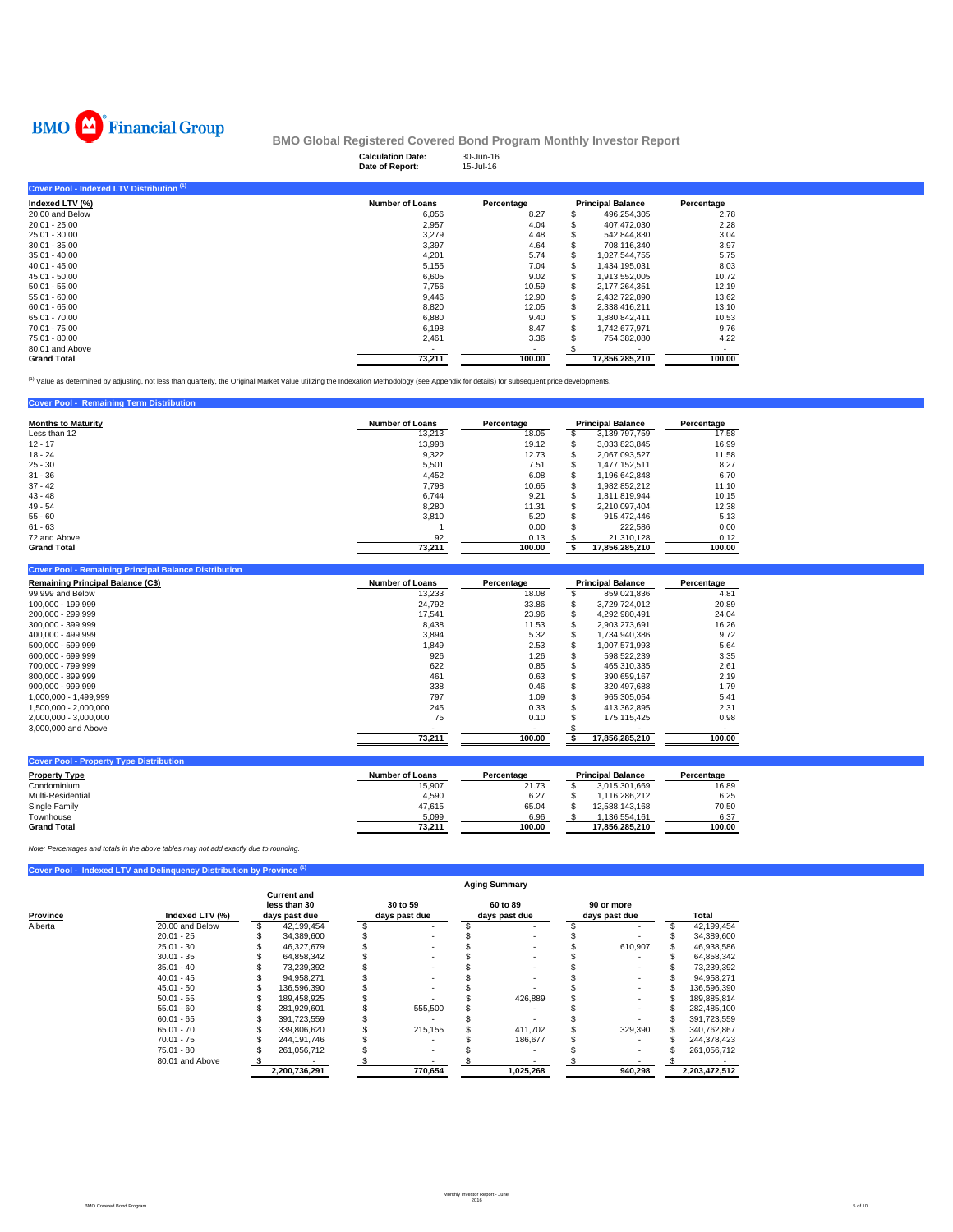

|                                           | <b>Calculation Date:</b><br>Date of Report: | 30-Jun-16<br>15-Jul-16 |    |                          |            |
|-------------------------------------------|---------------------------------------------|------------------------|----|--------------------------|------------|
| Cover Pool - Indexed LTV Distribution (1) |                                             |                        |    |                          |            |
| Indexed LTV (%)                           | <b>Number of Loans</b>                      | Percentage             |    | <b>Principal Balance</b> | Percentage |
| 20.00 and Below                           | 6,056                                       | 8.27                   |    | 496,254,305              | 2.78       |
| $20.01 - 25.00$                           | 2,957                                       | 4.04                   |    | 407,472,030              | 2.28       |
| 25.01 - 30.00                             | 3,279                                       | 4.48                   |    | 542,844,830              | 3.04       |
| $30.01 - 35.00$                           | 3,397                                       | 4.64                   |    | 708.116.340              | 3.97       |
| $35.01 - 40.00$                           | 4,201                                       | 5.74                   |    | 1,027,544,755            | 5.75       |
| $40.01 - 45.00$                           | 5,155                                       | 7.04                   | S  | 1,434,195,031            | 8.03       |
| $45.01 - 50.00$                           | 6,605                                       | 9.02                   | S  | 1,913,552,005            | 10.72      |
| $50.01 - 55.00$                           | 7,756                                       | 10.59                  |    | 2.177.264.351            | 12.19      |
| $55.01 - 60.00$                           | 9,446                                       | 12.90                  |    | 2,432,722,890            | 13.62      |
| $60.01 - 65.00$                           | 8,820                                       | 12.05                  |    | 2,338,416,211            | 13.10      |
| 65.01 - 70.00                             | 6,880                                       | 9.40                   | \$ | 1,880,842,411            | 10.53      |
| 70.01 - 75.00                             | 6,198                                       | 8.47                   |    | 1,742,677,971            | 9.76       |
| 75.01 - 80.00                             | 2,461                                       | 3.36                   |    | 754,382,080              | 4.22       |
| 80.01 and Above                           |                                             | ۰                      |    |                          |            |
| <b>Grand Total</b>                        | 73.211                                      | 100.00                 |    | 17.856.285.210           | 100.00     |

(1) Value as determined by adjusting, not less than quarterly, the Original Market Value utilizing the Indexation Methodology (see Appendix for details) for subsequent price developments.

### **Cover Pool - Remaining Term Distribution**

| <b>Months to Maturity</b> | <b>Number of Loans</b> | <b>Principal Balance</b><br>Percentage |  |                |        | Percentage |
|---------------------------|------------------------|----------------------------------------|--|----------------|--------|------------|
| Less than 12              | 13,213                 | 18.05                                  |  | 3,139,797,759  | 17.58  |            |
| $12 - 17$                 | 13.998                 | 19.12                                  |  | 3,033,823,845  | 16.99  |            |
| $18 - 24$                 | 9,322                  | 12.73                                  |  | 2,067,093,527  | 11.58  |            |
| $25 - 30$                 | 5.501                  | 7.51                                   |  | 1.477.152.511  | 8.27   |            |
| $31 - 36$                 | 4,452                  | 6.08                                   |  | 1,196,642,848  | 6.70   |            |
| $37 - 42$                 | 7.798                  | 10.65                                  |  | 1,982,852,212  | 11.10  |            |
| $43 - 48$                 | 6.744                  | 9.21                                   |  | 1.811.819.944  | 10.15  |            |
| $49 - 54$                 | 8.280                  | 11.31                                  |  | 2,210,097,404  | 12.38  |            |
| $55 - 60$                 | 3.810                  | 5.20                                   |  | 915.472.446    | 5.13   |            |
| $61 - 63$                 |                        | 0.00                                   |  | 222.586        | 0.00   |            |
| 72 and Above              | 92                     | 0.13                                   |  | 21,310,128     | 0.12   |            |
| <b>Grand Total</b>        | 73.211                 | 100.00                                 |  | 17.856.285.210 | 100.00 |            |

#### **Cover Pool - Remaining Principal Balance Distributio**

| <b>Remaining Principal Balance (C\$)</b> | <b>Number of Loans</b> | Percentage | <b>Principal Balance</b> | Percentage |
|------------------------------------------|------------------------|------------|--------------------------|------------|
| 99,999 and Below                         | 13,233                 | 18.08      | 859.021.836              | 4.81       |
| 100.000 - 199.999                        | 24.792                 | 33.86      | 3.729.724.012            | 20.89      |
| 200.000 - 299.999                        | 17.541                 | 23.96      | 4.292.980.491            | 24.04      |
| 300.000 - 399.999                        | 8.438                  | 11.53      | 2.903.273.691            | 16.26      |
| 400.000 - 499.999                        | 3.894                  | 5.32       | 1.734.940.386            | 9.72       |
| 500.000 - 599.999                        | 1,849                  | 2.53       | 1.007.571.993            | 5.64       |
| 600.000 - 699.999                        | 926                    | 1.26       | 598.522.239              | 3.35       |
| 700.000 - 799.999                        | 622                    | 0.85       | 465.310.335              | 2.61       |
| 800.000 - 899.999                        | 461                    | 0.63       | 390.659.167              | 2.19       |
| $900.000 - 999.999$                      | 338                    | 0.46       | 320.497.688              | 1.79       |
| 1.000.000 - 1.499.999                    | 797                    | 1.09       | 965.305.054              | 5.41       |
| 1.500.000 - 2.000.000                    | 245                    | 0.33       | 413.362.895              | 2.31       |
| 2,000,000 - 3,000,000                    | 75                     | 0.10       | 175.115.425              | 0.98       |
| 3,000,000 and Above                      |                        |            |                          |            |
|                                          | 73.211                 | 100.00     | 17.856.285.210           | 100.00     |

| <b>Cover Pool - Property Type Distribution</b> |                        |            |                          |                |            |
|------------------------------------------------|------------------------|------------|--------------------------|----------------|------------|
| <b>Property Type</b>                           | <b>Number of Loans</b> | Percentage | <b>Principal Balance</b> |                | Percentage |
| Condominium                                    | 15,907                 | 21.73      |                          | 3.015.301.669  | 16.89      |
| Multi-Residential                              | 4.590                  | 6.27       |                          | .116.286.212   | 6.25       |
| Single Family                                  | 47.615                 | 65.04      |                          | 12.588.143.168 | 70.50      |
| Townhouse                                      | 5.099                  | 6.96       |                          | .136.554.161   | 6.37       |
| <b>Grand Total</b>                             | 73.211                 | 100.00     |                          | 17.856.285.210 | 100.00     |

*Note: Percentages and totals in the above tables may not add exactly due to rounding.*

### **Cover Pool - Indexed LTV and Delinquency Distribution by Provin**

|                     |                 | <b>Aging Summary</b>                                |               |                           |         |  |                           |                             |         |  |               |  |  |  |
|---------------------|-----------------|-----------------------------------------------------|---------------|---------------------------|---------|--|---------------------------|-----------------------------|---------|--|---------------|--|--|--|
| Province<br>Alberta | Indexed LTV (%) | <b>Current and</b><br>less than 30<br>days past due |               | 30 to 59<br>days past due |         |  | 60 to 89<br>days past due | 90 or more<br>days past due |         |  | Total         |  |  |  |
|                     | 20.00 and Below |                                                     | 42.199.454    |                           |         |  |                           |                             | ٠       |  | 42,199,454    |  |  |  |
|                     | $20.01 - 25$    |                                                     | 34.389.600    |                           |         |  |                           |                             |         |  | 34,389,600    |  |  |  |
|                     | $25.01 - 30$    |                                                     | 46,327,679    |                           |         |  |                           |                             | 610,907 |  | 46,938,586    |  |  |  |
|                     | $30.01 - 35$    |                                                     | 64.858.342    |                           |         |  |                           |                             |         |  | 64,858,342    |  |  |  |
|                     | $35.01 - 40$    |                                                     | 73.239.392    |                           |         |  |                           |                             | $\sim$  |  | 73,239,392    |  |  |  |
|                     | $40.01 - 45$    |                                                     | 94,958,271    |                           |         |  |                           |                             |         |  | 94,958,271    |  |  |  |
|                     | $45.01 - 50$    |                                                     | 136.596.390   |                           |         |  |                           |                             |         |  | 136,596,390   |  |  |  |
|                     | $50.01 - 55$    |                                                     | 189,458,925   |                           |         |  | 426.889                   |                             | $\sim$  |  | 189,885,814   |  |  |  |
|                     | $55.01 - 60$    |                                                     | 281.929.601   |                           | 555,500 |  |                           |                             |         |  | 282,485,100   |  |  |  |
|                     | $60.01 - 65$    |                                                     | 391,723,559   |                           |         |  |                           |                             |         |  | 391,723,559   |  |  |  |
|                     | $65.01 - 70$    |                                                     | 339.806.620   |                           | 215,155 |  | 411.702                   |                             | 329,390 |  | 340,762,867   |  |  |  |
|                     | $70.01 - 75$    |                                                     | 244.191.746   |                           |         |  | 186.677                   |                             |         |  | 244,378,423   |  |  |  |
|                     | $75.01 - 80$    |                                                     | 261,056,712   |                           |         |  |                           |                             | $\sim$  |  | 261,056,712   |  |  |  |
|                     | 80.01 and Above |                                                     |               |                           |         |  |                           |                             |         |  |               |  |  |  |
|                     |                 |                                                     | 2,200,736,291 |                           | 770,654 |  | 1,025,268                 |                             | 940,298 |  | 2,203,472,512 |  |  |  |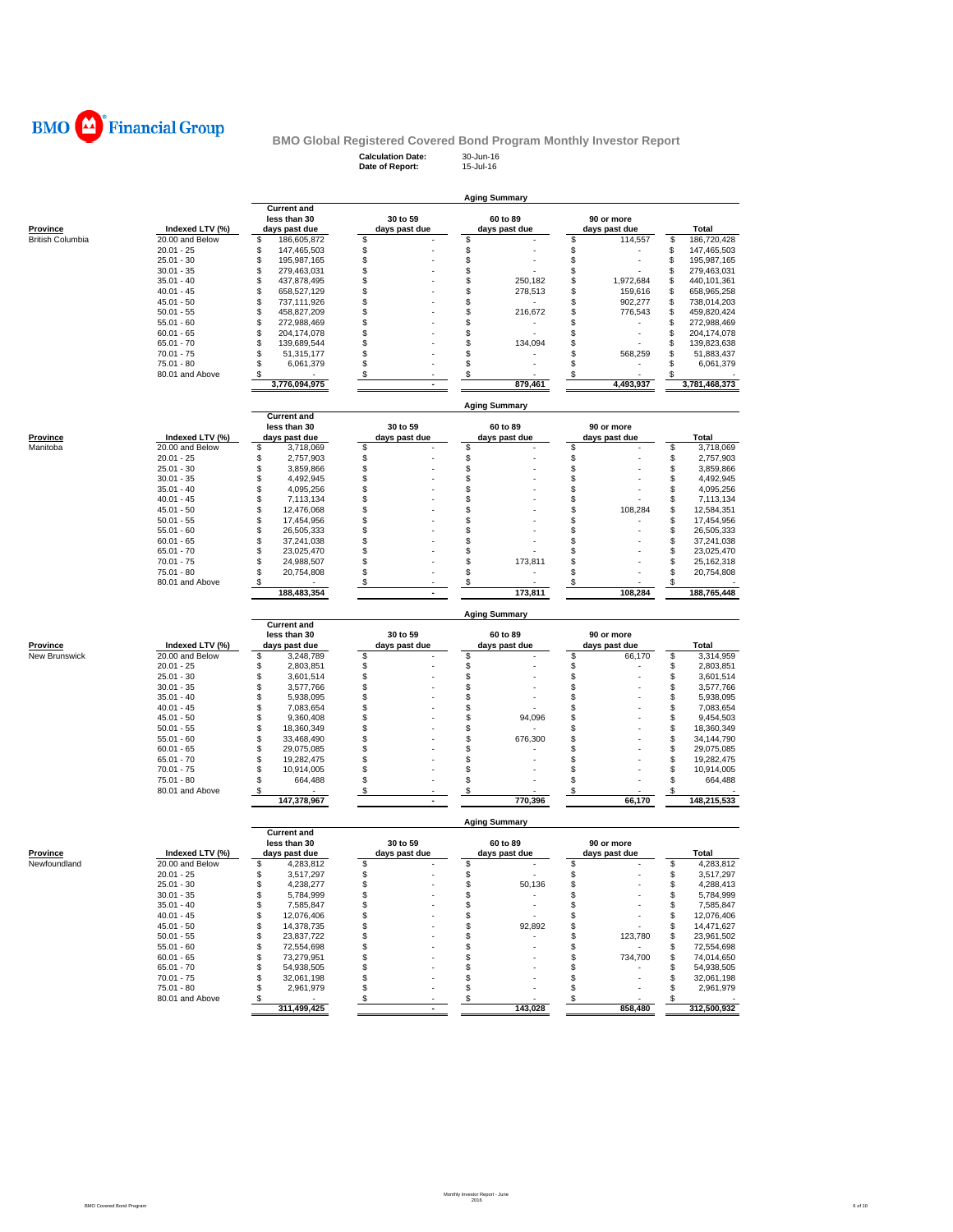

**Calculation Date:** 30-Jun-16 **Date of Report:** 15-Jul-16

|                         |                 |                                                     |                           | <b>Aging Summary</b>      |                             |                                                                                                                |
|-------------------------|-----------------|-----------------------------------------------------|---------------------------|---------------------------|-----------------------------|----------------------------------------------------------------------------------------------------------------|
| Province                | Indexed LTV (%) | <b>Current and</b><br>less than 30<br>days past due | 30 to 59<br>days past due | 60 to 89<br>days past due | 90 or more<br>days past due | Total                                                                                                          |
| <b>British Columbia</b> | 20.00 and Below | \$<br>186,605,872                                   | \$                        | \$                        | \$<br>114,557               | \$<br>186,720,428                                                                                              |
|                         | $20.01 - 25$    | \$<br>147,465,503                                   | \$                        | \$                        | \$                          | \$<br>147,465,503                                                                                              |
|                         | $25.01 - 30$    | \$<br>195,987,165                                   | \$                        | \$                        | \$                          | \$<br>195,987,165                                                                                              |
|                         | $30.01 - 35$    | \$<br>279,463,031                                   | \$                        | \$                        | \$                          | \$<br>279,463,031                                                                                              |
|                         | $35.01 - 40$    | \$<br>437,878,495                                   | \$                        | \$<br>250,182             | \$<br>1,972,684             | \$<br>440,101,361                                                                                              |
|                         | $40.01 - 45$    | \$<br>658,527,129                                   | \$                        | \$<br>278,513             | \$<br>159,616               | \$<br>658,965,258                                                                                              |
|                         | $45.01 - 50$    | \$<br>737,111,926                                   | \$                        | \$                        | S<br>902,277                | \$<br>738,014,203                                                                                              |
|                         | $50.01 - 55$    | \$<br>458,827,209                                   | \$                        | \$<br>216,672             | S<br>776,543                | \$<br>459,820,424                                                                                              |
|                         | $55.01 - 60$    | \$<br>272,988,469                                   | \$                        | \$                        | \$                          | \$<br>272,988,469                                                                                              |
|                         | $60.01 - 65$    | \$<br>204,174,078                                   | \$                        | \$                        | \$                          | \$<br>204, 174, 078                                                                                            |
|                         | $65.01 - 70$    | \$<br>139,689,544                                   | \$                        | \$<br>134,094             | \$                          | 139,823,638<br>\$                                                                                              |
|                         | $70.01 - 75$    | \$<br>51,315,177                                    | \$                        | \$                        | S<br>568.259                | \$<br>51,883,437                                                                                               |
|                         | 75.01 - 80      | \$<br>6,061,379                                     | \$                        | \$                        | \$                          | \$<br>6,061,379                                                                                                |
|                         | 80.01 and Above | \$                                                  | \$                        | \$                        | S                           |                                                                                                                |
|                         |                 | 3,776,094,975                                       |                           | 879,461                   | 4,493,937                   | 3,781,468,373                                                                                                  |
|                         |                 | <b>Current and</b>                                  |                           | <b>Aging Summary</b>      |                             |                                                                                                                |
| Province                | Indexed LTV (%) | less than 30<br>days past due                       | 30 to 59<br>days past due | 60 to 89<br>days past due | 90 or more<br>days past due | Total                                                                                                          |
| Manitoba                | 20.00 and Below | \$<br>3,718,069                                     | \$                        | \$                        | \$                          | \$<br>3,718,069                                                                                                |
|                         | $20.01 - 25$    | \$<br>2,757,903                                     | \$                        | \$                        | \$                          | \$<br>2,757,903                                                                                                |
|                         | $25.01 - 30$    | \$<br>3,859,866                                     | \$                        | \$                        | \$                          | \$<br>3,859,866                                                                                                |
|                         | $30.01 - 35$    | \$<br>4,492,945                                     | \$                        | \$                        | \$                          | \$<br>4,492,945                                                                                                |
|                         | $35.01 - 40$    | \$<br>4,095,256                                     | \$                        | \$                        | \$                          | \$<br>4,095,256                                                                                                |
|                         | $40.01 - 45$    | \$<br>7,113,134                                     | \$                        | \$                        | \$                          | \$<br>7,113,134                                                                                                |
|                         | $45.01 - 50$    | \$<br>12,476,068                                    | \$                        | \$                        | S<br>108,284                | \$<br>12,584,351                                                                                               |
|                         | $50.01 - 55$    | \$<br>17,454,956                                    | \$                        | \$                        | \$                          | \$<br>17,454,956                                                                                               |
|                         | $55.01 - 60$    | \$<br>26,505,333                                    | \$                        | \$                        | S                           | \$<br>26,505,333                                                                                               |
|                         | $60.01 - 65$    | \$<br>37,241,038                                    | \$                        | \$                        | \$                          | \$<br>37,241,038                                                                                               |
|                         | $65.01 - 70$    | \$<br>23,025,470                                    | \$                        | \$                        | \$                          | \$<br>23,025,470                                                                                               |
|                         | $70.01 - 75$    | \$<br>24,988,507                                    | \$                        | \$<br>173,811             | \$                          | \$<br>25, 162, 318                                                                                             |
|                         | 75.01 - 80      | \$<br>20,754,808                                    | \$                        | \$                        | \$                          | \$<br>20,754,808                                                                                               |
|                         | 80.01 and Above | \$                                                  | \$                        | \$                        | \$                          | \$                                                                                                             |
|                         |                 | 188,483,354                                         | ٠                         | 173,811                   | 108,284                     | 188,765,448                                                                                                    |
|                         |                 | <b>Current and</b>                                  |                           | <b>Aging Summary</b>      |                             |                                                                                                                |
|                         |                 | less than 30                                        | 30 to 59                  | 60 to 89                  | 90 or more                  |                                                                                                                |
| Province                | Indexed LTV (%) | days past due                                       | days past due             | days past due             | days past due               | Total                                                                                                          |
| New Brunswick           | 20.00 and Below | \$<br>3,248,789                                     | \$                        | \$                        | \$<br>66,170                | \$<br>3,314,959                                                                                                |
|                         | $20.01 - 25$    | \$<br>2,803,851                                     | \$                        | \$                        | \$                          | \$<br>2,803,851                                                                                                |
|                         | $25.01 - 30$    | \$<br>3,601,514                                     | \$                        | \$                        | \$                          | \$<br>3,601,514                                                                                                |
|                         | $30.01 - 35$    | \$<br>3,577,766                                     | \$                        | \$                        | \$                          | \$<br>3,577,766                                                                                                |
|                         | $35.01 - 40$    | \$<br>5,938,095                                     | \$                        | \$                        | \$                          | \$<br>5,938,095                                                                                                |
|                         | $40.01 - 45$    | \$<br>7,083,654                                     | \$                        | \$                        | \$                          | \$<br>7,083,654                                                                                                |
|                         |                 |                                                     |                           |                           |                             |                                                                                                                |
|                         | $45.01 - 50$    | \$<br>9,360,408                                     | \$                        | \$<br>94,096              | S                           | \$<br>9,454,503                                                                                                |
|                         | $50.01 - 55$    | \$<br>18,360,349                                    | \$                        | \$                        | \$                          | \$<br>18,360,349                                                                                               |
|                         | $55.01 - 60$    | \$<br>33,468,490                                    | \$                        | \$<br>676,300             | S                           | \$<br>34,144,790                                                                                               |
|                         | $60.01 - 65$    | \$<br>29,075,085                                    | \$                        | \$                        | \$                          | \$<br>29,075,085                                                                                               |
|                         | $65.01 - 70$    | \$<br>19,282,475                                    | \$                        | \$                        | S                           | \$<br>19,282,475                                                                                               |
|                         | $70.01 - 75$    | \$<br>10,914,005                                    | \$                        | \$                        | \$                          | \$<br>10,914,005                                                                                               |
|                         | $75.01 - 80$    | \$<br>664,488                                       | \$                        | \$                        | \$                          | \$<br>664,488                                                                                                  |
|                         | 80.01 and Above | \$<br>147,378,967                                   | \$                        | \$<br>770.396             | \$<br>66,170                | \$<br>148,215,533                                                                                              |
|                         |                 |                                                     |                           | <b>Aging Summary</b>      |                             |                                                                                                                |
|                         |                 | <b>Current and</b><br>less than 30                  | 30 to 59                  | 60 to 89                  | 90 or more                  |                                                                                                                |
| Province                | Indexed LTV (%) | days past due                                       | days past due             | days past due             | days past due               | Total                                                                                                          |
| Newfoundland            | 20.00 and Below | \$<br>4,283,812                                     | \$                        | \$                        | \$                          | \$                                                                                                             |
|                         | 20.01 - 25      | 3,517,297                                           | £.                        |                           | ፍ                           | \$                                                                                                             |
|                         | $25.01 - 30$    | \$<br>4,238,277                                     | \$                        | \$<br>50,136              | \$                          | \$                                                                                                             |
|                         | $30.01 - 35$    | \$<br>5,784,999                                     | \$                        | \$<br>$\sim$              | \$                          | \$                                                                                                             |
|                         | $35.01 - 40$    | \$<br>7,585,847                                     | \$                        | \$<br>$\sim$              | \$                          | \$                                                                                                             |
|                         | $40.01 - 45$    | \$<br>12,076,406                                    | \$                        | \$                        | \$                          | \$                                                                                                             |
|                         | $45.01 - 50$    | \$<br>14,378,735                                    | \$                        | 92,892<br>\$              | \$                          | \$                                                                                                             |
|                         | $50.01 - 55$    | \$<br>23,837,722                                    | \$                        | \$<br>٠                   | 123,780<br>\$               | \$                                                                                                             |
|                         | $55.01 - 60$    | \$<br>72,554,698                                    | \$                        | \$                        | \$<br>$\sim$                | \$                                                                                                             |
|                         | $60.01 - 65$    | \$<br>73,279,951                                    | \$                        | \$                        | 734,700<br>\$               | \$                                                                                                             |
|                         | $65.01 - 70$    | \$<br>54,938,505                                    | \$                        | \$                        | \$                          | \$                                                                                                             |
|                         | $70.01 - 75$    | \$<br>32,061,198                                    | \$                        | \$                        | \$                          | 3,517,297<br>7,585,847<br>14,471,627<br>74,014,650<br>54,938,505<br>\$                                         |
|                         | $75.01 - 80$    | \$<br>2,961,979                                     | \$                        | \$                        | \$                          | 4,283,812<br>4,288,413<br>5,784,999<br>12,076,406<br>23,961,502<br>72,554,698<br>32,061,198<br>\$<br>2,961,979 |
|                         | 80.01 and Above | \$<br>$\sim$<br>311,499,425                         | \$                        | \$<br>143,028             | \$<br>858,480               | \$<br>312,500,932                                                                                              |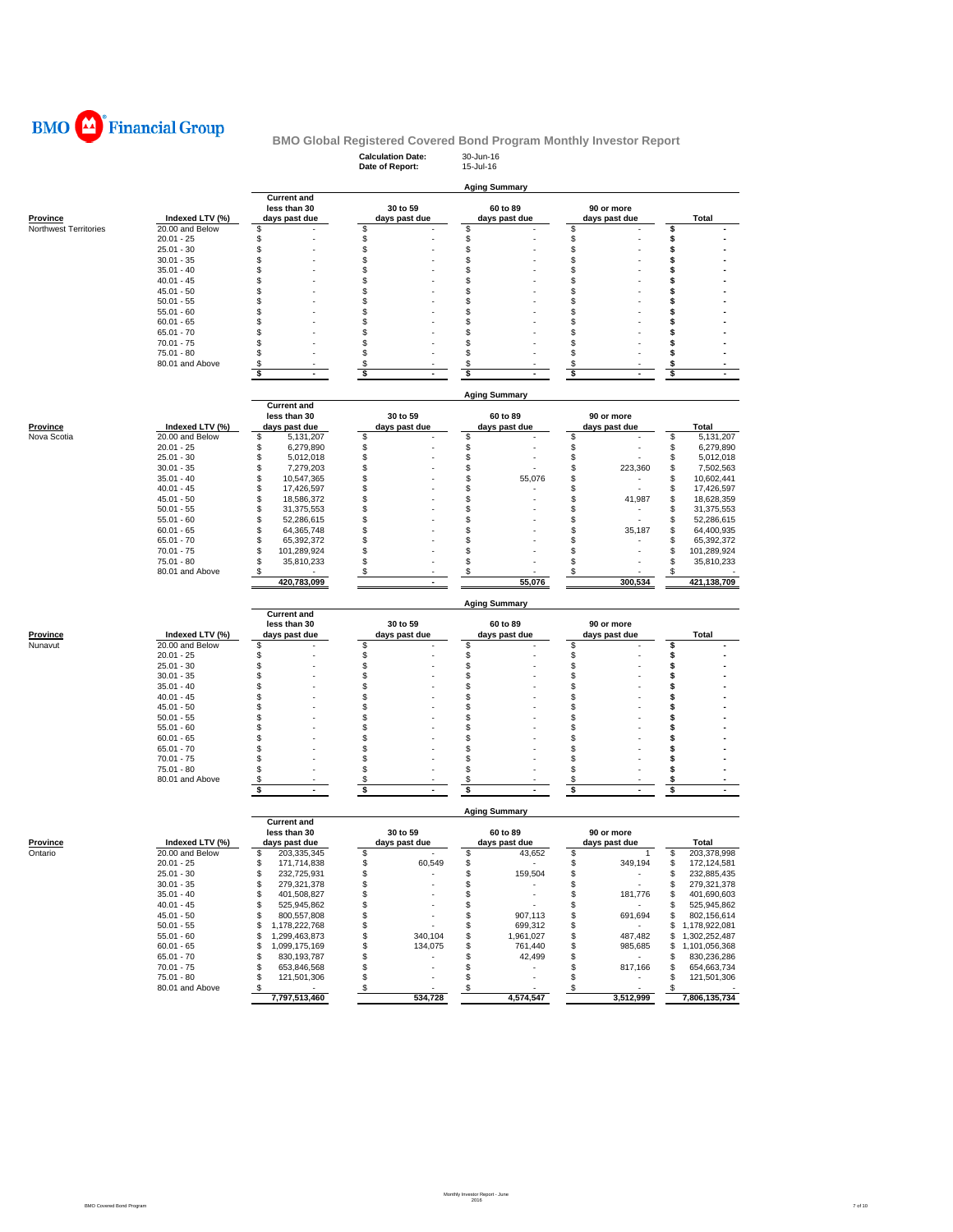

### **Calculation Date:** 30-Jun-16 **BMO Global Registered Covered Bond Program Monthly Investor Report**

|                       |                               |                                    | Date of Report:                | 15-Jul-16                      |                             |                                                                  |
|-----------------------|-------------------------------|------------------------------------|--------------------------------|--------------------------------|-----------------------------|------------------------------------------------------------------|
|                       |                               |                                    |                                | <b>Aging Summary</b>           |                             |                                                                  |
|                       |                               | <b>Current and</b>                 |                                |                                |                             |                                                                  |
|                       |                               | less than 30                       | 30 to 59                       | 60 to 89                       | 90 or more                  |                                                                  |
| <b>Province</b>       | Indexed LTV (%)               | days past due                      | days past due                  | days past due                  | days past due               | Total                                                            |
| Northwest Territories | 20.00 and Below               | \$                                 | \$                             | \$                             | \$                          | \$                                                               |
|                       | $20.01 - 25$                  | \$                                 | \$                             | \$                             | \$                          | \$                                                               |
|                       | $25.01 - 30$<br>$30.01 - 35$  | \$<br>\$                           | \$<br>\$                       | \$<br>\$                       | \$<br>\$                    | \$                                                               |
|                       | $35.01 - 40$                  | \$                                 | \$                             | \$                             | \$                          | \$<br>\$                                                         |
|                       | $40.01 - 45$                  | \$                                 | \$                             | \$                             | \$                          | \$                                                               |
|                       | $45.01 - 50$                  | \$                                 | \$                             | \$                             | \$                          | \$                                                               |
|                       | $50.01 - 55$                  | \$                                 | \$                             | \$                             | \$                          | \$                                                               |
|                       | $55.01 - 60$                  | \$                                 | \$                             | \$                             | \$                          | \$                                                               |
|                       | $60.01 - 65$                  | \$                                 | \$                             | \$                             | \$                          | S                                                                |
|                       | $65.01 - 70$                  | S                                  | \$                             | \$                             | \$                          | \$                                                               |
|                       | $70.01 - 75$                  | \$                                 | \$                             | \$                             | \$                          | \$                                                               |
|                       | 75.01 - 80                    | \$                                 | \$                             | \$                             | \$                          | \$                                                               |
|                       | 80.01 and Above               | \$                                 | \$                             | \$                             | $\boldsymbol{\mathsf{s}}$   | \$                                                               |
|                       |                               | \$<br>÷.                           | \$<br>ź                        | \$                             | \$                          | \$                                                               |
|                       |                               |                                    |                                |                                |                             |                                                                  |
|                       |                               | <b>Current and</b>                 |                                | <b>Aging Summary</b>           |                             |                                                                  |
|                       |                               |                                    |                                |                                |                             |                                                                  |
| Province              | Indexed LTV (%)               | less than 30<br>days past due      | 30 to 59<br>days past due      | 60 to 89<br>days past due      | 90 or more<br>days past due | Total                                                            |
| Nova Scotia           | 20.00 and Below               | \$<br>5,131,207                    | \$                             | \$                             | \$                          | \$<br>5,131,207                                                  |
|                       | $20.01 - 25$                  | \$<br>6,279,890                    | \$                             | \$                             | \$                          | \$<br>6,279,890                                                  |
|                       | $25.01 - 30$                  | \$<br>5,012,018                    | \$                             | \$                             | \$                          | \$<br>5,012,018                                                  |
|                       | $30.01 - 35$                  | \$<br>7,279,203                    | \$                             | \$                             | \$<br>223,360               | \$<br>7,502,563                                                  |
|                       | $35.01 - 40$                  | \$<br>10,547,365                   | \$                             | \$<br>55,076                   | \$<br>٠                     | \$<br>10,602,441                                                 |
|                       | $40.01 - 45$                  | \$<br>17,426,597                   | \$                             | \$                             | \$                          | \$<br>17,426,597                                                 |
|                       | $45.01 - 50$                  | \$<br>18,586,372                   | \$                             | \$                             | \$<br>41,987                | \$<br>18,628,359                                                 |
|                       | $50.01 - 55$                  | \$<br>31,375,553                   | \$                             | \$                             | \$                          | \$<br>31,375,553                                                 |
|                       | $55.01 - 60$                  | \$<br>52,286,615                   | \$                             | \$                             | \$                          | \$<br>52,286,615                                                 |
|                       | $60.01 - 65$                  | \$<br>64,365,748                   | \$                             | \$                             | \$<br>35,187                | \$<br>64,400,935                                                 |
|                       | $65.01 - 70$                  | \$<br>65,392,372                   | \$                             | \$                             | \$                          | \$<br>65,392,372                                                 |
|                       | $70.01 - 75$                  | \$<br>101,289,924                  | \$                             | \$                             | \$                          | \$<br>101,289,924                                                |
|                       | 75.01 - 80                    | \$<br>35,810,233                   | \$                             | \$                             | \$                          | \$<br>35,810,233                                                 |
|                       | 80.01 and Above               | \$<br>420,783,099                  | \$<br>$\sim$                   | \$<br>55,076                   | \$<br>300.534               | \$                                                               |
|                       |                               |                                    |                                |                                |                             | 421,138,709                                                      |
|                       |                               |                                    |                                | <b>Aging Summary</b>           |                             |                                                                  |
|                       |                               | <b>Current and</b><br>less than 30 | 30 to 59                       | 60 to 89                       | 90 or more                  |                                                                  |
| Province              | Indexed LTV (%)               | days past due                      | days past due                  | days past due                  | days past due               | <b>Total</b>                                                     |
| Nunavut               | 20.00 and Below               | \$                                 | \$                             | \$                             | \$                          | \$                                                               |
|                       | $20.01 - 25$                  | \$                                 | \$                             | \$                             | \$                          | \$                                                               |
|                       | $25.01 - 30$                  | \$                                 | \$                             | \$                             | \$                          | \$                                                               |
|                       | $30.01 - 35$                  | \$                                 | \$                             | \$                             | \$                          | \$                                                               |
|                       | $35.01 - 40$                  | \$                                 | \$                             | \$                             | \$                          | \$                                                               |
|                       | $40.01 - 45$                  | \$                                 | \$                             | \$                             | \$                          | \$                                                               |
|                       | $45.01 - 50$                  | \$                                 | \$                             | \$                             | \$                          | \$                                                               |
|                       |                               |                                    |                                |                                |                             |                                                                  |
|                       | $50.01 - 55$                  | \$                                 | \$                             | \$                             | \$                          | \$                                                               |
|                       | $55.01 - 60$                  | \$                                 | \$                             | \$                             | \$                          | \$                                                               |
|                       | $60.01 - 65$                  | \$                                 | \$                             | \$                             | \$                          | \$                                                               |
|                       | $65.01 - 70$                  | \$                                 | \$                             | \$                             | \$                          | \$                                                               |
|                       | $70.01 - 75$                  | \$                                 | \$                             | \$                             | \$                          | \$                                                               |
|                       | 75.01 - 80                    | \$                                 | \$                             | \$                             | \$                          | \$                                                               |
|                       | 80.01 and Above               | S                                  | \$                             | s                              | \$                          | \$                                                               |
|                       |                               | s                                  | \$                             | \$                             | \$                          | \$                                                               |
|                       |                               |                                    |                                | <b>Aging Summary</b>           |                             |                                                                  |
|                       |                               | <b>Current and</b>                 |                                | 60 to 89                       |                             |                                                                  |
| Province              | Indexed LTV (%)               | less than 30<br>days past due      | 30 to 59<br>days past due      | days past due                  | 90 or more<br>days past due | Total                                                            |
| Ontario               | 20.00 and Below               | 203,335,345<br>S                   | \$                             | \$<br>43,652                   | \$<br>$\mathbf{1}$          | \$<br>203,378,998                                                |
|                       | $20.01 - 25$                  | \$<br>171,714,838                  | \$<br>60,549                   | \$                             | \$<br>349,194               | \$<br>172,124,581                                                |
|                       | $25.01 - 30$                  | \$<br>232,725,931                  | \$<br>$\overline{\phantom{a}}$ | 159,504<br>\$                  | \$<br>$\sim$                | \$                                                               |
|                       | $30.01 - 35$                  | \$<br>279,321,378                  | \$                             | \$<br>٠                        | \$                          | \$                                                               |
|                       | $35.01 - 40$                  | \$<br>401,508,827                  | \$                             | \$<br>٠                        | \$<br>181,776               | 401,690,603<br>\$                                                |
|                       | $40.01 - 45$                  | \$<br>525,945,862                  | \$                             | \$<br>×,                       | \$                          | \$                                                               |
|                       | $45.01 - 50$                  | \$<br>800,557,808                  | \$                             | \$<br>907,113                  | \$<br>691,694               | 802,156,614<br>\$                                                |
|                       | $50.01 - 55$                  | \$<br>1,178,222,768                | \$                             | \$<br>699,312                  | \$                          | 232,885,435<br>279,321,378<br>525,945,862<br>\$<br>1,178,922,081 |
|                       | $55.01 - 60$                  | \$<br>1,299,463,873                | \$<br>340,104                  | \$<br>1,961,027                | \$<br>487,482               | \$1,302,252,487                                                  |
|                       | $60.01 - 65$                  | \$<br>1,099,175,169                | \$<br>134,075                  | \$<br>761,440                  | \$<br>985,685               | \$<br>1,101,056,368                                              |
|                       | $65.01 - 70$                  | \$<br>830,193,787                  | \$<br>ä,                       | \$<br>42,499                   | \$<br>$\sim$                | \$<br>830,236,286                                                |
|                       | $70.01 - 75$                  | \$<br>653,846,568                  | \$<br>٠                        | \$<br>$\overline{\phantom{a}}$ | \$<br>817,166               | \$                                                               |
|                       | 75.01 - 80<br>80.01 and Above | \$<br>121,501,306<br>\$<br>$\sim$  | \$<br>\$                       | \$<br>٠<br>\$                  | \$<br>$\sim$<br>\$          | 654,663,734<br>\$<br>121,501,306<br>\$                           |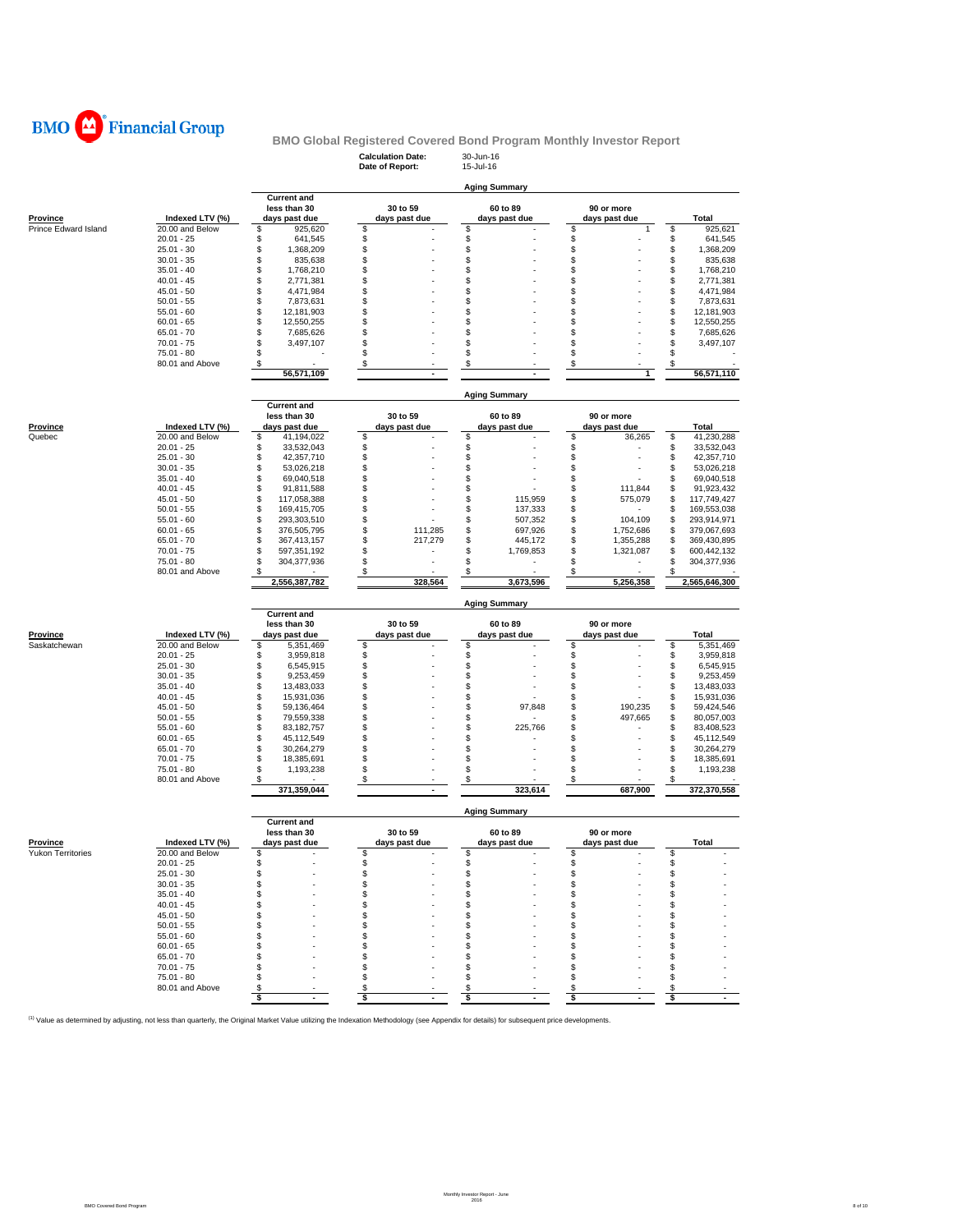

|                      |                                 |                                                     | <b>Calculation Date:</b><br>Date of Report: | 30-Jun-16<br>15-Jul-16          |                              |                                      |
|----------------------|---------------------------------|-----------------------------------------------------|---------------------------------------------|---------------------------------|------------------------------|--------------------------------------|
|                      |                                 |                                                     |                                             | <b>Aging Summary</b>            |                              |                                      |
| <b>Province</b>      | Indexed LTV (%)                 | <b>Current and</b><br>less than 30<br>days past due | 30 to 59<br>days past due                   | 60 to 89<br>days past due       | 90 or more<br>days past due  | Total                                |
| Prince Edward Island | 20.00 and Below<br>$20.01 - 25$ | \$<br>925,620<br>\$<br>641,545                      | \$<br>\$                                    | \$<br>\$                        | \$<br>1<br>\$                | \$<br>925,621<br>\$<br>641,545       |
|                      | $25.01 - 30$                    | \$<br>1,368,209                                     | \$                                          | \$                              | \$                           | \$<br>1,368,209                      |
|                      | $30.01 - 35$                    | \$<br>835,638                                       | \$                                          | \$                              | \$                           | \$<br>835,638                        |
|                      | $35.01 - 40$                    | \$<br>1,768,210                                     | \$                                          | \$                              | \$                           | \$<br>1,768,210                      |
|                      | $40.01 - 45$                    | \$<br>2,771,381                                     | \$                                          | \$                              | S                            | \$<br>2,771,381                      |
|                      | $45.01 - 50$<br>$50.01 - 55$    | \$<br>4,471,984<br>\$                               | \$<br>\$                                    | \$<br>\$                        | \$<br>\$                     | \$<br>4,471,984<br>\$<br>7,873,631   |
|                      | $55.01 - 60$                    | 7,873,631<br>\$<br>12,181,903                       | \$                                          | \$                              | \$                           | \$<br>12,181,903                     |
|                      | $60.01 - 65$                    | \$<br>12,550,255                                    | \$                                          | \$                              | S                            | \$<br>12,550,255                     |
|                      | $65.01 - 70$                    | \$<br>7,685,626                                     | \$                                          | \$                              | \$                           | \$<br>7,685,626                      |
|                      | $70.01 - 75$                    | \$<br>3,497,107                                     | \$                                          | \$                              | \$                           | \$<br>3,497,107                      |
|                      | 75.01 - 80                      | \$                                                  | \$                                          | \$                              | \$                           | \$                                   |
|                      | 80.01 and Above                 | \$<br>56,571,109                                    | \$<br>$\sim$                                | \$                              | \$<br>1                      | \$<br>56,571,110                     |
|                      |                                 |                                                     |                                             | <b>Aging Summary</b>            |                              |                                      |
|                      |                                 | <b>Current and</b><br>less than 30                  | 30 to 59                                    | 60 to 89                        | 90 or more                   |                                      |
| Province             | Indexed LTV (%)                 | days past due                                       | days past due                               | days past due                   | days past due                | Total                                |
| Quebec               | 20.00 and Below                 | \$<br>41,194,022                                    | \$                                          | \$                              | \$<br>36,265                 | \$<br>41,230,288                     |
|                      | $20.01 - 25$                    | \$<br>33,532,043                                    | \$                                          | \$                              | \$                           | \$<br>33,532,043                     |
|                      | $25.01 - 30$                    | \$<br>42,357,710                                    | \$                                          | \$                              | \$                           | \$<br>42,357,710                     |
|                      | $30.01 - 35$<br>$35.01 - 40$    | \$<br>53,026,218<br>\$<br>69,040,518                | \$<br>\$                                    | \$<br>\$                        | \$<br>\$                     | \$<br>53,026,218<br>\$<br>69,040,518 |
|                      | $40.01 - 45$                    | \$<br>91,811,588                                    | \$                                          | \$                              | \$<br>111,844                | \$<br>91,923,432                     |
|                      | $45.01 - 50$                    | \$<br>117,058,388                                   | \$                                          | \$<br>115,959                   | \$<br>575,079                | \$<br>117,749,427                    |
|                      | $50.01 - 55$                    | \$<br>169,415,705                                   | \$                                          | \$<br>137,333                   | \$                           | 169,553,038<br>\$                    |
|                      | $55.01 - 60$                    | \$<br>293,303,510                                   | \$                                          | \$<br>507,352                   | \$<br>104,109                | \$<br>293,914,971                    |
|                      | $60.01 - 65$<br>$65.01 - 70$    | \$<br>376,505,795<br>\$                             | \$<br>111,285<br>\$                         | \$<br>697,926<br>\$             | \$<br>1,752,686<br>1,355,288 | \$<br>379,067,693<br>\$              |
|                      | $70.01 - 75$                    | 367,413,157<br>\$<br>597,351,192                    | 217,279<br>\$                               | 445,172<br>\$<br>1,769,853      | \$<br>S<br>1,321,087         | 369,430,895<br>\$<br>600,442,132     |
|                      | 75.01 - 80                      | \$<br>304,377,936                                   | \$                                          | \$                              | S                            | \$<br>304,377,936                    |
|                      | 80.01 and Above                 | \$                                                  | \$                                          | \$                              | £                            | \$                                   |
|                      |                                 | 2,556,387,782                                       | 328,564                                     | 3,673,596                       | 5,256,358                    | 2,565,646,300                        |
|                      |                                 |                                                     |                                             |                                 |                              |                                      |
|                      |                                 |                                                     |                                             | <b>Aging Summary</b>            |                              |                                      |
|                      |                                 | <b>Current and</b>                                  |                                             |                                 |                              |                                      |
| Province             | Indexed LTV (%)                 | less than 30<br>days past due                       | 30 to 59<br>days past due                   | 60 to 89<br>days past due       | 90 or more<br>days past due  | Total                                |
| Saskatchewan         | 20.00 and Below                 | \$<br>5,351,469                                     | \$                                          | \$                              | \$                           | \$<br>5,351,469                      |
|                      | $20.01 - 25$                    | \$<br>3,959,818                                     | \$                                          | \$                              | \$                           | \$<br>3,959,818                      |
|                      | $25.01 - 30$                    | \$<br>6,545,915                                     | \$                                          | \$                              | \$                           | \$<br>6,545,915                      |
|                      | $30.01 - 35$                    | \$<br>9,253,459                                     | \$                                          | \$                              | \$                           | \$<br>9,253,459                      |
|                      | $35.01 - 40$<br>$40.01 - 45$    | \$<br>13,483,033<br>\$<br>15,931,036                | \$<br>\$                                    | \$<br>\$                        | \$<br>\$                     | \$<br>13,483,033<br>\$<br>15,931,036 |
|                      | $45.01 - 50$                    | \$<br>59,136,464                                    | \$                                          | \$<br>97,848                    | 190,235<br>\$                | \$<br>59,424,546                     |
|                      | $50.01 - 55$                    | \$<br>79,559,338                                    | \$                                          | \$                              | 497,665<br>\$                | \$<br>80,057,003                     |
|                      | $55.01 - 60$                    | \$<br>83,182,757                                    | \$                                          | \$<br>225,766                   | S                            | \$<br>83,408,523                     |
|                      | $60.01 - 65$                    | \$<br>45,112,549                                    | \$                                          | \$                              | \$                           | \$<br>45,112,549                     |
|                      | $65.01 - 70$                    | \$<br>30,264,279                                    | \$                                          | \$<br>\$                        | S<br>\$                      | \$<br>30,264,279                     |
|                      | $70.01 - 75$<br>75.01 - 80      | \$<br>18,385,691<br>\$<br>1,193,238                 | \$<br>\$                                    | \$                              | \$                           | \$<br>18,385,691<br>\$<br>1,193,238  |
|                      | 80.01 and Above                 | \$                                                  | \$<br>$\overline{\phantom{a}}$              | \$                              | \$                           | \$                                   |
|                      |                                 | 371,359,044                                         |                                             | 323,614<br><b>Aging Summary</b> | 687,900                      | 372,370,558                          |
|                      |                                 | <b>Current and</b>                                  |                                             |                                 |                              |                                      |
| <b>Province</b>      | Indexed LTV (%)                 | less than 30<br>days past due                       | 30 to 59<br>days past due                   | 60 to 89<br>days past due       | 90 or more<br>days past due  | Total                                |
| Yukon Territories    | 20.00 and Below                 | \$                                                  | \$                                          | S                               | \$                           | \$                                   |
|                      | $20.01 - 25$                    | \$                                                  | \$                                          | \$                              | \$                           | \$                                   |
|                      | $25.01 - 30$                    | \$<br>\$                                            | \$<br>\$                                    | S<br>\$                         | \$<br>\$                     | \$                                   |
|                      | $30.01 - 35$<br>$35.01 - 40$    | \$                                                  | \$                                          | \$                              | \$                           | \$<br>\$                             |
|                      | $40.01 - 45$                    | \$                                                  | \$                                          | \$                              | \$                           | \$                                   |
|                      | $45.01 - 50$                    | \$                                                  | \$                                          | S                               | \$                           | \$                                   |
|                      | $50.01 - 55$                    | \$                                                  | \$                                          |                                 | \$                           | \$                                   |
|                      | $55.01 - 60$                    | \$                                                  | \$                                          | я                               | \$                           | \$                                   |
|                      | $60.01 - 65$                    | \$<br>S                                             | \$                                          | S<br>\$                         | S<br>S                       | \$                                   |
|                      | $65.01 - 70$<br>$70.01 - 75$    | S                                                   | \$<br>\$                                    | S                               | \$                           | \$<br>\$                             |
|                      | $75.01 - 80$                    | S                                                   | \$                                          | \$                              | \$                           | \$                                   |
|                      | 80.01 and Above                 | S<br>\$<br>$\overline{a}$                           | \$                                          | \$                              | S                            | \$<br>\$                             |

<sup>(1)</sup> Value as determined by adjusting, not less than quarterly, the Original Market Value utilizing the Indexation Methodology (see Appendix for details) for subsequent price developments.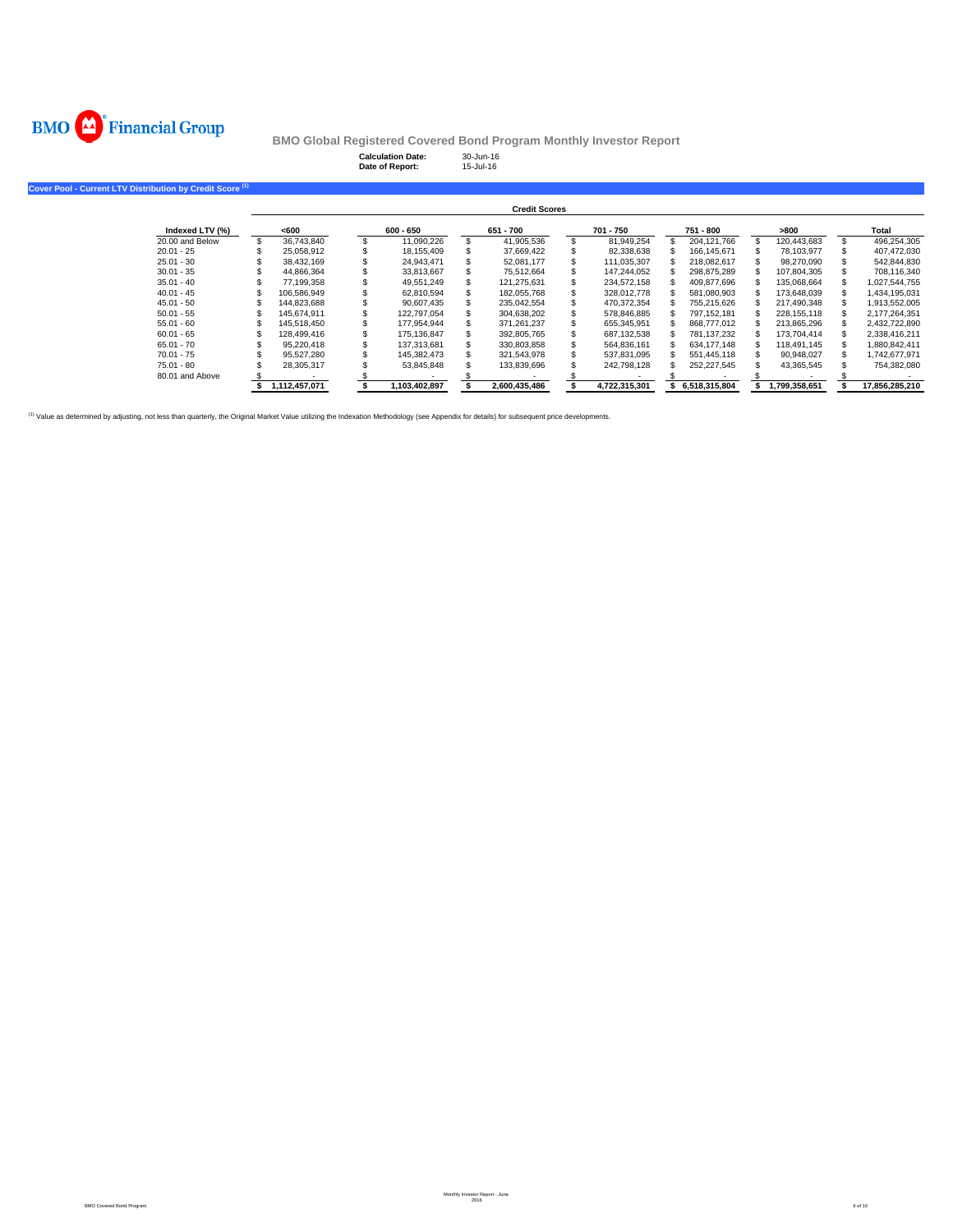

**Cover Pool - Curre** 

**BMO Global Registered Covered Bond Program Monthly Investor Report**

**Calculation Date:** 30-Jun-16 **Date of Report:** 15-Jul-16

|                 |               |               | <b>Credit Scores</b> |               |               |               |                |
|-----------------|---------------|---------------|----------------------|---------------|---------------|---------------|----------------|
| Indexed LTV (%) | <600          | $600 - 650$   | 651 - 700            | 701 - 750     | 751 - 800     | >800          | Total          |
| 20.00 and Below | 36,743,840    | 11.090.226    | 41,905,536           | 81,949,254    | 204.121.766   | 120,443,683   | 496,254,305    |
| $20.01 - 25$    | 25.058.912    | 18.155.409    | 37,669,422           | 82,338,638    | 166.145.671   | 78,103,977    | 407,472,030    |
| $25.01 - 30$    | 38.432.169    | 24.943.471    | 52.081.177           | 111,035,307   | 218.082.617   | 98.270.090    | 542,844,830    |
| $30.01 - 35$    | 44.866.364    | 33.813.667    | 75.512.664           | 147.244.052   | 298.875.289   | 107.804.305   | 708.116.340    |
| $35.01 - 40$    | 77.199.358    | 49.551.249    | 121.275.631          | 234,572,158   | 409,877,696   | 135,068,664   | 1,027,544,755  |
| $40.01 - 45$    | 106.586.949   | 62,810,594    | 182,055,768          | 328,012,778   | 581,080,903   | 173,648,039   | 1,434,195,031  |
| $45.01 - 50$    | 144.823.688   | 90.607.435    | 235,042,554          | 470,372,354   | 755.215.626   | 217.490.348   | 1,913,552,005  |
| $50.01 - 55$    | 145.674.911   | 122.797.054   | 304,638,202          | 578.846.885   | 797.152.181   | 228.155.118   | 2,177,264,351  |
| $55.01 - 60$    | 145.518.450   | 177.954.944   | 371,261,237          | 655,345,951   | 868,777,012   | 213,865,296   | 2,432,722,890  |
| $60.01 - 65$    | 128.499.416   | 175.136.847   | 392,805,765          | 687,132,538   | 781.137.232   | 173.704.414   | 2,338,416,211  |
| $65.01 - 70$    | 95.220.418    | 137.313.681   | 330,803,858          | 564,836,161   | 634.177.148   | 118.491.145   | 1,880,842,411  |
| $70.01 - 75$    | 95.527.280    | 145.382.473   | 321.543.978          | 537.831.095   | 551.445.118   | 90.948.027    | 1.742.677.971  |
| $75.01 - 80$    | 28,305,317    | 53,845,848    | 133,839,696          | 242,798,128   | 252,227,545   | 43,365,545    | 754,382,080    |
| 80.01 and Above |               |               |                      |               |               |               |                |
|                 | 1.112.457.071 | 1,103,402,897 | 2,600,435,486        | 4.722.315.301 | 6.518.315.804 | 1.799.358.651 | 17.856.285.210 |

(1) Value as determined by adjusting, not less than quarterly, the Original Market Value utilizing the Indexation Methodology (see Appendix for details) for subsequent price developments.